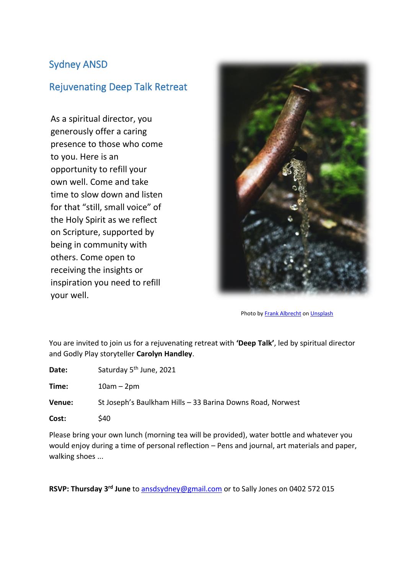## Sydney ANSD

## Rejuvenating Deep Talk Retreat

As a spiritual director, you generously offer a caring presence to those who come to you. Here is an opportunity to refill your own well. Come and take time to slow down and listen for that "still, small voice" of the Holy Spirit as we reflect on Scripture, supported by being in community with others. Come open to receiving the insights or inspiration you need to refill your well.



Photo b[y Frank Albrecht](https://unsplash.com/@shotaspot?utm_source=unsplash&utm_medium=referral&utm_content=creditCopyText) o[n Unsplash](https://unsplash.com/s/photos/water-well?utm_source=unsplash&utm_medium=referral&utm_content=creditCopyText)

You are invited to join us for a rejuvenating retreat with **'Deep Talk'**, led by spiritual director and Godly Play storyteller **Carolyn Handley**.

| Date:         | Saturday 5 <sup>th</sup> June, 2021                        |
|---------------|------------------------------------------------------------|
| Time:         | $10am - 2pm$                                               |
| <b>Venue:</b> | St Joseph's Baulkham Hills - 33 Barina Downs Road, Norwest |
| Cost:         | S40                                                        |

Please bring your own lunch (morning tea will be provided), water bottle and whatever you would enjoy during a time of personal reflection – Pens and journal, art materials and paper, walking shoes ...

**RSVP: Thursday 3rd June** to [ansdsydney@gmail.com](mailto:ansdsydney@gmail.com) or to Sally Jones on 0402 572 015